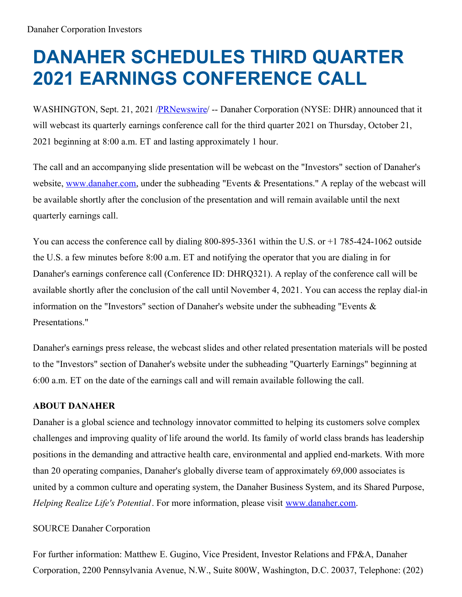## **DANAHER SCHEDULES THIRD QUARTER 2021 EARNINGS CONFERENCE CALL**

WASHINGTON, Sept. 21, 2021 [/PRNewswire](http://www.prnewswire.com/)/ -- Danaher Corporation (NYSE: DHR) announced that it will webcast its quarterly earnings conference call for the third quarter 2021 on Thursday, October 21, 2021 beginning at 8:00 a.m. ET and lasting approximately 1 hour.

The call and an accompanying slide presentation will be webcast on the "Investors" section of Danaher's website, [www.danaher.com](http://www.danaher.com), under the subheading "Events & Presentations." A replay of the webcast will be available shortly after the conclusion of the presentation and will remain available until the next quarterly earnings call.

You can access the conference call by dialing 800-895-3361 within the U.S. or  $+1$  785-424-1062 outside the U.S. a few minutes before 8:00 a.m. ET and notifying the operator that you are dialing in for Danaher's earnings conference call (Conference ID: DHRQ321). A replay of the conference call will be available shortly after the conclusion of the call until November 4, 2021. You can access the replay dial-in information on the "Investors" section of Danaher's website under the subheading "Events & Presentations."

Danaher's earnings press release, the webcast slides and other related presentation materials will be posted to the "Investors" section of Danaher's website under the subheading "Quarterly Earnings" beginning at 6:00 a.m. ET on the date of the earnings call and will remain available following the call.

## **ABOUT DANAHER**

Danaher is a global science and technology innovator committed to helping its customers solve complex challenges and improving quality of life around the world. Its family of world class brands has leadership positions in the demanding and attractive health care, environmental and applied end-markets. With more than 20 operating companies, Danaher's globally diverse team of approximately 69,000 associates is united by a common culture and operating system, the Danaher Business System, and its Shared Purpose, *Helping Realize Life's Potential*. For more information, please visit [www.danaher.com](http://www.danaher.com).

## SOURCE Danaher Corporation

For further information: Matthew E. Gugino, Vice President, Investor Relations and FP&A, Danaher Corporation, 2200 Pennsylvania Avenue, N.W., Suite 800W, Washington, D.C. 20037, Telephone: (202)